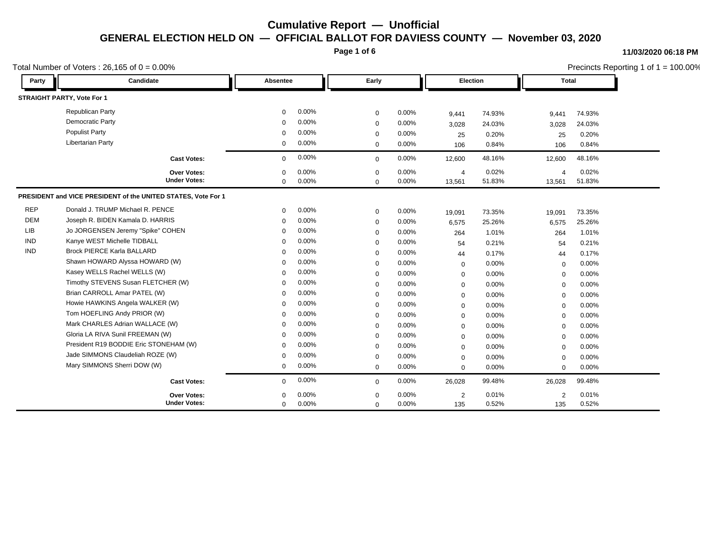**Page 1 of 6**

#### **11/03/2020 06:18 PM**

|            | Total Number of Voters: $26,165$ of $0 = 0.00\%$              |             |       |             | Precincts Reporting 1 of $1 = 100.00\%$ |                |        |                |        |  |
|------------|---------------------------------------------------------------|-------------|-------|-------------|-----------------------------------------|----------------|--------|----------------|--------|--|
| Party      | Candidate                                                     | Absentee    |       | Early       |                                         | Election       |        | Total          |        |  |
|            | STRAIGHT PARTY, Vote For 1                                    |             |       |             |                                         |                |        |                |        |  |
|            | <b>Republican Party</b>                                       | 0           | 0.00% | $\mathbf 0$ | 0.00%                                   | 9,441          | 74.93% | 9,441          | 74.93% |  |
|            | Democratic Party                                              | $\mathbf 0$ | 0.00% | $\mathbf 0$ | 0.00%                                   | 3,028          | 24.03% | 3,028          | 24.03% |  |
|            | <b>Populist Party</b>                                         | $\Omega$    | 0.00% | $\mathbf 0$ | 0.00%                                   | 25             | 0.20%  | 25             | 0.20%  |  |
|            | <b>Libertarian Party</b>                                      | 0           | 0.00% | $\mathbf 0$ | 0.00%                                   | 106            | 0.84%  | 106            | 0.84%  |  |
|            | <b>Cast Votes:</b>                                            | $\mathbf 0$ | 0.00% | $\mathbf 0$ | 0.00%                                   | 12,600         | 48.16% | 12,600         | 48.16% |  |
|            | Over Votes:                                                   | $\Omega$    | 0.00% | $\Omega$    | 0.00%                                   | $\overline{4}$ | 0.02%  | $\overline{4}$ | 0.02%  |  |
|            | <b>Under Votes:</b>                                           | $\mathbf 0$ | 0.00% | $\mathbf 0$ | 0.00%                                   | 13,561         | 51.83% | 13,561         | 51.83% |  |
|            | PRESIDENT and VICE PRESIDENT of the UNITED STATES, Vote For 1 |             |       |             |                                         |                |        |                |        |  |
| <b>REP</b> | Donald J. TRUMP Michael R. PENCE                              | $\mathbf 0$ | 0.00% | $\mathbf 0$ | 0.00%                                   | 19,091         | 73.35% | 19,091         | 73.35% |  |
| <b>DEM</b> | Joseph R. BIDEN Kamala D. HARRIS                              | $\Omega$    | 0.00% | $\mathbf 0$ | 0.00%                                   | 6,575          | 25.26% | 6,575          | 25.26% |  |
| <b>LIB</b> | Jo JORGENSEN Jeremy "Spike" COHEN                             | $\Omega$    | 0.00% | $\mathbf 0$ | 0.00%                                   | 264            | 1.01%  | 264            | 1.01%  |  |
| <b>IND</b> | Kanye WEST Michelle TIDBALL                                   | $\Omega$    | 0.00% | $\mathbf 0$ | 0.00%                                   | 54             | 0.21%  | 54             | 0.21%  |  |
| <b>IND</b> | <b>Brock PIERCE Karla BALLARD</b>                             | $\Omega$    | 0.00% | $\mathbf 0$ | 0.00%                                   | 44             | 0.17%  | 44             | 0.17%  |  |
|            | Shawn HOWARD Alyssa HOWARD (W)                                | $\mathbf 0$ | 0.00% | $\mathbf 0$ | 0.00%                                   | $\mathbf 0$    | 0.00%  | $\mathbf 0$    | 0.00%  |  |
|            | Kasey WELLS Rachel WELLS (W)                                  | $\Omega$    | 0.00% | $\mathbf 0$ | 0.00%                                   | $\mathbf 0$    | 0.00%  | $\mathbf 0$    | 0.00%  |  |
|            | Timothy STEVENS Susan FLETCHER (W)                            | $\Omega$    | 0.00% | $\mathbf 0$ | 0.00%                                   | $\mathbf 0$    | 0.00%  | $\mathbf 0$    | 0.00%  |  |
|            | Brian CARROLL Amar PATEL (W)                                  | $\Omega$    | 0.00% | $\mathbf 0$ | 0.00%                                   | $\mathbf 0$    | 0.00%  | $\mathbf 0$    | 0.00%  |  |
|            | Howie HAWKINS Angela WALKER (W)                               | $\Omega$    | 0.00% | $\mathbf 0$ | 0.00%                                   | 0              | 0.00%  | $\mathbf 0$    | 0.00%  |  |
|            | Tom HOEFLING Andy PRIOR (W)                                   | $\Omega$    | 0.00% | $\mathbf 0$ | 0.00%                                   | $\mathbf 0$    | 0.00%  | $\mathbf 0$    | 0.00%  |  |
|            | Mark CHARLES Adrian WALLACE (W)                               | $\Omega$    | 0.00% | $\mathbf 0$ | 0.00%                                   | 0              | 0.00%  | $\mathbf 0$    | 0.00%  |  |
|            | Gloria LA RIVA Sunil FREEMAN (W)                              | $\Omega$    | 0.00% | $\mathbf 0$ | 0.00%                                   | $\mathbf 0$    | 0.00%  | $\mathbf 0$    | 0.00%  |  |
|            | President R19 BODDIE Eric STONEHAM (W)                        | $\mathbf 0$ | 0.00% | $\mathbf 0$ | 0.00%                                   | 0              | 0.00%  | $\mathbf 0$    | 0.00%  |  |
|            | Jade SIMMONS Claudeliah ROZE (W)                              | 0           | 0.00% | $\mathbf 0$ | 0.00%                                   | $\mathbf 0$    | 0.00%  | $\mathbf 0$    | 0.00%  |  |
|            | Mary SIMMONS Sherri DOW (W)                                   | 0           | 0.00% | $\mathbf 0$ | 0.00%                                   | $\mathbf 0$    | 0.00%  | $\mathbf 0$    | 0.00%  |  |
|            | <b>Cast Votes:</b>                                            | 0           | 0.00% | $\mathbf 0$ | 0.00%                                   | 26,028         | 99.48% | 26,028         | 99.48% |  |
|            | <b>Over Votes:</b>                                            | $\Omega$    | 0.00% | $\Omega$    | 0.00%                                   | $\overline{2}$ | 0.01%  | 2              | 0.01%  |  |
|            | <b>Under Votes:</b>                                           | $\mathbf 0$ | 0.00% | $\mathbf 0$ | 0.00%                                   | 135            | 0.52%  | 135            | 0.52%  |  |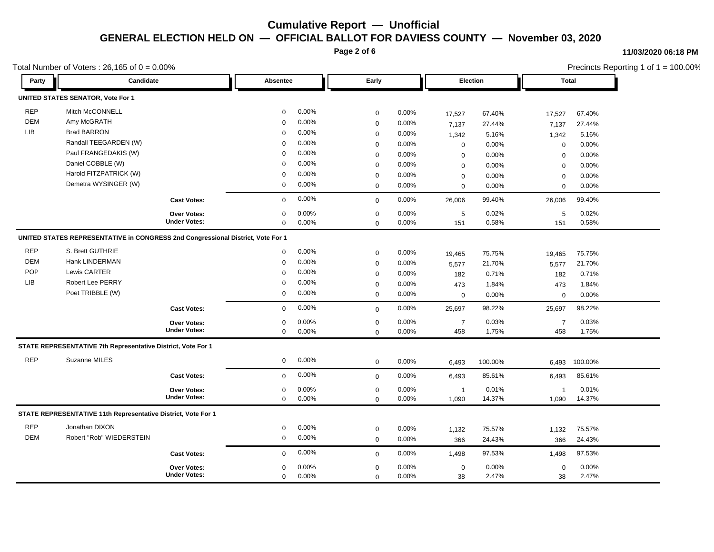**Page 2 of 6**

#### **11/03/2020 06:18 PM**

|            |                                                                                 | Total Number of Voters: $26,165$ of $0 = 0.00\%$ |             |       |             |       |                |          |                |         | Precincts Reporting 1 of 1 = 100.00% |  |  |  |
|------------|---------------------------------------------------------------------------------|--------------------------------------------------|-------------|-------|-------------|-------|----------------|----------|----------------|---------|--------------------------------------|--|--|--|
| Party      | <b>Candidate</b>                                                                |                                                  | Absentee    |       | Early       |       |                | Election |                | Total   |                                      |  |  |  |
|            | <b>UNITED STATES SENATOR, Vote For 1</b>                                        |                                                  |             |       |             |       |                |          |                |         |                                      |  |  |  |
| <b>REP</b> | Mitch McCONNELL                                                                 |                                                  | $\mathbf 0$ | 0.00% | $\mathbf 0$ | 0.00% | 17,527         | 67.40%   | 17,527         | 67.40%  |                                      |  |  |  |
| <b>DEM</b> | Amy McGRATH                                                                     |                                                  | $\Omega$    | 0.00% | $\mathbf 0$ | 0.00% | 7,137          | 27.44%   | 7,137          | 27.44%  |                                      |  |  |  |
| LIB        | <b>Brad BARRON</b>                                                              |                                                  | $\mathbf 0$ | 0.00% | $\mathbf 0$ | 0.00% | 1,342          | 5.16%    | 1,342          | 5.16%   |                                      |  |  |  |
|            | Randall TEEGARDEN (W)                                                           |                                                  | $\Omega$    | 0.00% | $\mathbf 0$ | 0.00% | 0              | 0.00%    | $\mathbf 0$    | 0.00%   |                                      |  |  |  |
|            | Paul FRANGEDAKIS (W)                                                            |                                                  | $\Omega$    | 0.00% | $\mathbf 0$ | 0.00% | $\mathbf 0$    | 0.00%    | $\mathbf 0$    | 0.00%   |                                      |  |  |  |
|            | Daniel COBBLE (W)                                                               |                                                  | $\Omega$    | 0.00% | $\mathbf 0$ | 0.00% | $\mathbf 0$    | 0.00%    | $\mathbf 0$    | 0.00%   |                                      |  |  |  |
|            | Harold FITZPATRICK (W)                                                          |                                                  | $\Omega$    | 0.00% | $\mathbf 0$ | 0.00% | $\mathbf 0$    | 0.00%    | $\mathbf 0$    | 0.00%   |                                      |  |  |  |
|            | Demetra WYSINGER (W)                                                            |                                                  | $\mathbf 0$ | 0.00% | $\mathbf 0$ | 0.00% | $\mathbf 0$    | 0.00%    | $\mathbf 0$    | 0.00%   |                                      |  |  |  |
|            |                                                                                 | <b>Cast Votes:</b>                               | $\mathbf 0$ | 0.00% | $\mathbf 0$ | 0.00% | 26,006         | 99.40%   | 26,006         | 99.40%  |                                      |  |  |  |
|            |                                                                                 | <b>Over Votes:</b>                               | $\mathbf 0$ | 0.00% | $\mathbf 0$ | 0.00% | $\sqrt{5}$     | 0.02%    | 5              | 0.02%   |                                      |  |  |  |
|            |                                                                                 | <b>Under Votes:</b>                              | $\mathbf 0$ | 0.00% | $\mathbf 0$ | 0.00% | 151            | 0.58%    | 151            | 0.58%   |                                      |  |  |  |
|            | UNITED STATES REPRESENTATIVE in CONGRESS 2nd Congressional District, Vote For 1 |                                                  |             |       |             |       |                |          |                |         |                                      |  |  |  |
| <b>REP</b> | S. Brett GUTHRIE                                                                |                                                  | 0           | 0.00% | $\mathbf 0$ | 0.00% | 19,465         | 75.75%   | 19,465         | 75.75%  |                                      |  |  |  |
| <b>DEM</b> | Hank LINDERMAN                                                                  |                                                  | $\mathbf 0$ | 0.00% | $\mathbf 0$ | 0.00% | 5,577          | 21.70%   | 5,577          | 21.70%  |                                      |  |  |  |
| <b>POP</b> | Lewis CARTER                                                                    |                                                  | $\Omega$    | 0.00% | $\mathbf 0$ | 0.00% | 182            | 0.71%    | 182            | 0.71%   |                                      |  |  |  |
| <b>LIB</b> | <b>Robert Lee PERRY</b>                                                         |                                                  | $\Omega$    | 0.00% | $\mathbf 0$ | 0.00% | 473            | 1.84%    | 473            | 1.84%   |                                      |  |  |  |
|            | Poet TRIBBLE (W)                                                                |                                                  | 0           | 0.00% | $\mathbf 0$ | 0.00% | $\mathbf 0$    | 0.00%    | $\mathbf 0$    | 0.00%   |                                      |  |  |  |
|            |                                                                                 | <b>Cast Votes:</b>                               | $\mathbf 0$ | 0.00% | $\Omega$    | 0.00% | 25,697         | 98.22%   | 25,697         | 98.22%  |                                      |  |  |  |
|            |                                                                                 | Over Votes:                                      | 0           | 0.00% | $\mathbf 0$ | 0.00% | $\overline{7}$ | 0.03%    | $\overline{7}$ | 0.03%   |                                      |  |  |  |
|            |                                                                                 | <b>Under Votes:</b>                              | $\mathbf 0$ | 0.00% | $\mathbf 0$ | 0.00% | 458            | 1.75%    | 458            | 1.75%   |                                      |  |  |  |
|            | STATE REPRESENTATIVE 7th Representative District, Vote For 1                    |                                                  |             |       |             |       |                |          |                |         |                                      |  |  |  |
| <b>REP</b> | Suzanne MILES                                                                   |                                                  | 0           | 0.00% | $\mathbf 0$ | 0.00% | 6,493          | 100.00%  | 6,493          | 100.00% |                                      |  |  |  |
|            |                                                                                 | <b>Cast Votes:</b>                               | 0           | 0.00% | $\mathbf 0$ | 0.00% | 6,493          | 85.61%   | 6,493          | 85.61%  |                                      |  |  |  |
|            |                                                                                 | Over Votes:                                      | 0           | 0.00% | 0           | 0.00% | $\mathbf{1}$   | 0.01%    | $\mathbf 1$    | 0.01%   |                                      |  |  |  |
|            |                                                                                 | <b>Under Votes:</b>                              | $\mathbf 0$ | 0.00% | $\mathbf 0$ | 0.00% | 1,090          | 14.37%   | 1,090          | 14.37%  |                                      |  |  |  |
|            | STATE REPRESENTATIVE 11th Representative District, Vote For 1                   |                                                  |             |       |             |       |                |          |                |         |                                      |  |  |  |
| <b>REP</b> | Jonathan DIXON                                                                  |                                                  | 0           | 0.00% | $\mathbf 0$ | 0.00% | 1,132          | 75.57%   | 1,132          | 75.57%  |                                      |  |  |  |
| <b>DEM</b> | Robert "Rob" WIEDERSTEIN                                                        |                                                  | $\mathbf 0$ | 0.00% | $\mathbf 0$ | 0.00% | 366            | 24.43%   | 366            | 24.43%  |                                      |  |  |  |
|            |                                                                                 | <b>Cast Votes:</b>                               | $\mathbf 0$ | 0.00% | $\mathbf 0$ | 0.00% | 1,498          | 97.53%   | 1,498          | 97.53%  |                                      |  |  |  |
|            |                                                                                 | Over Votes:                                      | 0           | 0.00% | $\mathbf 0$ | 0.00% | $\mathsf 0$    | 0.00%    | $\mathbf 0$    | 0.00%   |                                      |  |  |  |
|            |                                                                                 | <b>Under Votes:</b>                              | 0           | 0.00% | $\mathbf 0$ | 0.00% | 38             | 2.47%    | 38             | 2.47%   |                                      |  |  |  |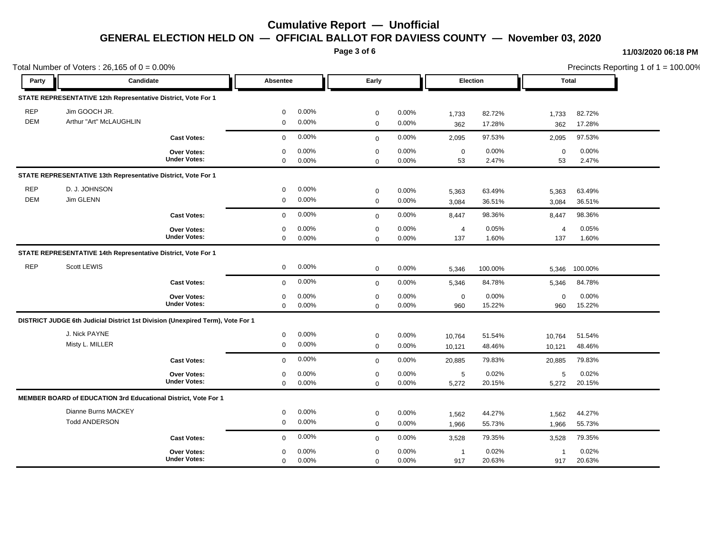**Page 3 of 6**

#### **11/03/2020 06:18 PM**

| Total Number of Voters: $26,165$ of $0 = 0.00\%$ |                                                                                |                     |             |       |             |       |                |         |                | Precincts Reporting 1 of 1 = 100.00% |  |  |
|--------------------------------------------------|--------------------------------------------------------------------------------|---------------------|-------------|-------|-------------|-------|----------------|---------|----------------|--------------------------------------|--|--|
| Party                                            | Candidate                                                                      |                     | Absentee    |       | Early       |       | Election       |         | Total          |                                      |  |  |
|                                                  | STATE REPRESENTATIVE 12th Representative District, Vote For 1                  |                     |             |       |             |       |                |         |                |                                      |  |  |
| <b>REP</b>                                       | Jim GOOCH JR.                                                                  |                     | 0           | 0.00% | $\mathbf 0$ | 0.00% | 1,733          | 82.72%  | 1,733          | 82.72%                               |  |  |
| <b>DEM</b>                                       | Arthur "Art" McLAUGHLIN                                                        |                     | $\mathbf 0$ | 0.00% | $\mathbf 0$ | 0.00% | 362            | 17.28%  | 362            | 17.28%                               |  |  |
|                                                  |                                                                                | <b>Cast Votes:</b>  | $\mathbf 0$ | 0.00% | $\mathbf 0$ | 0.00% | 2,095          | 97.53%  | 2,095          | 97.53%                               |  |  |
|                                                  |                                                                                | Over Votes:         | $\mathbf 0$ | 0.00% | $\mathbf 0$ | 0.00% | $\mathsf 0$    | 0.00%   | $\mathbf 0$    | 0.00%                                |  |  |
|                                                  |                                                                                | <b>Under Votes:</b> | $\mathbf 0$ | 0.00% | $\mathbf 0$ | 0.00% | 53             | 2.47%   | 53             | 2.47%                                |  |  |
|                                                  | STATE REPRESENTATIVE 13th Representative District, Vote For 1                  |                     |             |       |             |       |                |         |                |                                      |  |  |
| <b>REP</b>                                       | D. J. JOHNSON                                                                  |                     | $\mathbf 0$ | 0.00% | $\mathbf 0$ | 0.00% | 5,363          | 63.49%  | 5,363          | 63.49%                               |  |  |
| <b>DEM</b>                                       | Jim GLENN                                                                      |                     | $\mathbf 0$ | 0.00% | $\mathbf 0$ | 0.00% | 3,084          | 36.51%  | 3,084          | 36.51%                               |  |  |
|                                                  |                                                                                | <b>Cast Votes:</b>  | $\mathbf 0$ | 0.00% | $\mathbf 0$ | 0.00% | 8,447          | 98.36%  | 8,447          | 98.36%                               |  |  |
|                                                  |                                                                                | <b>Over Votes:</b>  | 0           | 0.00% | $\mathbf 0$ | 0.00% | $\overline{a}$ | 0.05%   | $\overline{4}$ | 0.05%                                |  |  |
|                                                  |                                                                                | <b>Under Votes:</b> | $\mathbf 0$ | 0.00% | $\mathbf 0$ | 0.00% | 137            | 1.60%   | 137            | 1.60%                                |  |  |
|                                                  | STATE REPRESENTATIVE 14th Representative District, Vote For 1                  |                     |             |       |             |       |                |         |                |                                      |  |  |
| <b>REP</b>                                       | Scott LEWIS                                                                    |                     | 0           | 0.00% | $\mathbf 0$ | 0.00% | 5,346          | 100.00% | 5,346          | 100.00%                              |  |  |
|                                                  |                                                                                | <b>Cast Votes:</b>  | $\mathbf 0$ | 0.00% | $\mathbf 0$ | 0.00% | 5,346          | 84.78%  | 5,346          | 84.78%                               |  |  |
|                                                  |                                                                                | <b>Over Votes:</b>  | $\mathbf 0$ | 0.00% | $\mathbf 0$ | 0.00% | $\mathbf 0$    | 0.00%   | $\mathbf 0$    | 0.00%                                |  |  |
|                                                  |                                                                                | <b>Under Votes:</b> | 0           | 0.00% | $\mathbf 0$ | 0.00% | 960            | 15.22%  | 960            | 15.22%                               |  |  |
|                                                  | DISTRICT JUDGE 6th Judicial District 1st Division (Unexpired Term), Vote For 1 |                     |             |       |             |       |                |         |                |                                      |  |  |
|                                                  | J. Nick PAYNE                                                                  |                     | $\mathbf 0$ | 0.00% | $\mathbf 0$ | 0.00% | 10,764         | 51.54%  | 10,764         | 51.54%                               |  |  |
|                                                  | Misty L. MILLER                                                                |                     | 0           | 0.00% | $\mathbf 0$ | 0.00% | 10,121         | 48.46%  | 10,121         | 48.46%                               |  |  |
|                                                  |                                                                                | <b>Cast Votes:</b>  | $\mathbf 0$ | 0.00% | $\mathbf 0$ | 0.00% | 20,885         | 79.83%  | 20,885         | 79.83%                               |  |  |
|                                                  |                                                                                | Over Votes:         | $\mathbf 0$ | 0.00% | $\mathbf 0$ | 0.00% | 5              | 0.02%   | 5              | 0.02%                                |  |  |
|                                                  |                                                                                | <b>Under Votes:</b> | $\mathbf 0$ | 0.00% | $\Omega$    | 0.00% | 5,272          | 20.15%  | 5,272          | 20.15%                               |  |  |
|                                                  | <b>MEMBER BOARD of EDUCATION 3rd Educational District, Vote For 1</b>          |                     |             |       |             |       |                |         |                |                                      |  |  |
|                                                  | Dianne Burns MACKEY                                                            |                     | 0           | 0.00% | $\mathbf 0$ | 0.00% | 1,562          | 44.27%  | 1,562          | 44.27%                               |  |  |
|                                                  | <b>Todd ANDERSON</b>                                                           |                     | $\mathbf 0$ | 0.00% | $\mathbf 0$ | 0.00% | 1,966          | 55.73%  | 1,966          | 55.73%                               |  |  |
|                                                  |                                                                                | <b>Cast Votes:</b>  | $\mathbf 0$ | 0.00% | $\mathbf 0$ | 0.00% | 3,528          | 79.35%  | 3,528          | 79.35%                               |  |  |
|                                                  |                                                                                | <b>Over Votes:</b>  | $\mathbf 0$ | 0.00% | $\mathbf 0$ | 0.00% | $\overline{1}$ | 0.02%   | $\overline{1}$ | 0.02%                                |  |  |
|                                                  |                                                                                | <b>Under Votes:</b> | $\mathbf 0$ | 0.00% | $\mathbf 0$ | 0.00% | 917            | 20.63%  | 917            | 20.63%                               |  |  |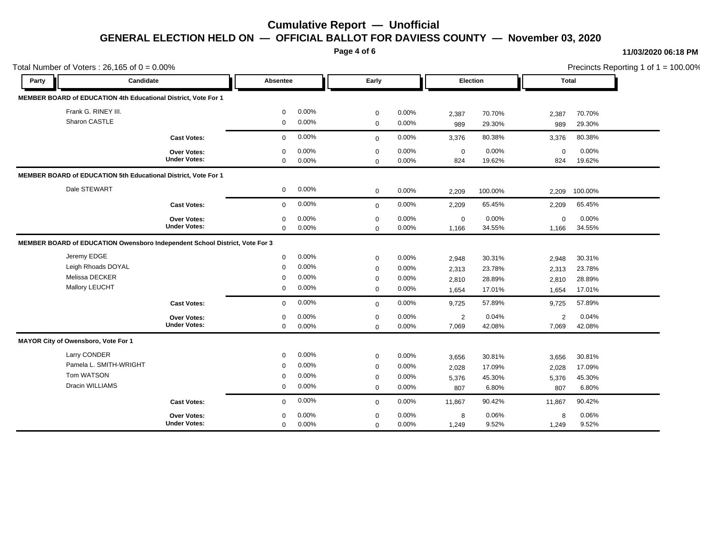**Page 4 of 6**

#### **11/03/2020 06:18 PM**

| Total Number of Voters: $26,165$ of $0 = 0.00\%$ |                                                                             |                                           |                                                 |                                     |                                                |                                     |                                  |                                      |                                  |                                      | Precincts Reporting 1 of 1 = 100.00% |
|--------------------------------------------------|-----------------------------------------------------------------------------|-------------------------------------------|-------------------------------------------------|-------------------------------------|------------------------------------------------|-------------------------------------|----------------------------------|--------------------------------------|----------------------------------|--------------------------------------|--------------------------------------|
| Party                                            | Candidate                                                                   |                                           | Absentee                                        |                                     | Early                                          |                                     | Election                         |                                      | <b>Total</b>                     |                                      |                                      |
|                                                  | MEMBER BOARD of EDUCATION 4th Educational District, Vote For 1              |                                           |                                                 |                                     |                                                |                                     |                                  |                                      |                                  |                                      |                                      |
|                                                  | Frank G. RINEY III.<br>Sharon CASTLE                                        |                                           | $\mathbf 0$<br>$\mathbf 0$                      | 0.00%<br>0.00%                      | 0<br>$\mathbf 0$                               | 0.00%<br>0.00%                      | 2,387<br>989                     | 70.70%<br>29.30%                     | 2,387<br>989                     | 70.70%<br>29.30%                     |                                      |
|                                                  |                                                                             | <b>Cast Votes:</b>                        | $\Omega$                                        | 0.00%                               | $\mathbf 0$                                    | 0.00%                               | 3,376                            | 80.38%                               | 3,376                            | 80.38%                               |                                      |
|                                                  |                                                                             | <b>Over Votes:</b><br><b>Under Votes:</b> | $\Omega$<br>$\mathbf 0$                         | 0.00%<br>0.00%                      | $\mathbf 0$<br>0                               | $0.00\%$<br>0.00%                   | $\mathbf 0$<br>824               | 0.00%<br>19.62%                      | $\Omega$<br>824                  | 0.00%<br>19.62%                      |                                      |
|                                                  | MEMBER BOARD of EDUCATION 5th Educational District, Vote For 1              |                                           |                                                 |                                     |                                                |                                     |                                  |                                      |                                  |                                      |                                      |
|                                                  | Dale STEWART                                                                |                                           | $\mathbf 0$                                     | $0.00\%$                            | $\mathbf 0$                                    | $0.00\%$                            | 2,209                            | 100.00%                              | 2,209                            | 100.00%                              |                                      |
|                                                  |                                                                             | <b>Cast Votes:</b>                        | $\mathbf 0$                                     | 0.00%                               | $\mathbf 0$                                    | 0.00%                               | 2,209                            | 65.45%                               | 2,209                            | 65.45%                               |                                      |
|                                                  |                                                                             | Over Votes:<br><b>Under Votes:</b>        | 0<br>$\mathbf 0$                                | 0.00%<br>$0.00\%$                   | 0<br>$\mathbf 0$                               | 0.00%<br>0.00%                      | 0<br>1,166                       | 0.00%<br>34.55%                      | $\mathbf 0$<br>1,166             | 0.00%<br>34.55%                      |                                      |
|                                                  | MEMBER BOARD of EDUCATION Owensboro Independent School District, Vote For 3 |                                           |                                                 |                                     |                                                |                                     |                                  |                                      |                                  |                                      |                                      |
|                                                  | Jeremy EDGE<br>Leigh Rhoads DOYAL<br>Melissa DECKER<br>Mallory LEUCHT       |                                           | $\mathbf 0$<br>$\mathbf 0$<br>$\mathbf{0}$<br>0 | $0.00\%$<br>0.00%<br>0.00%<br>0.00% | 0<br>$\mathbf 0$<br>0<br>$\mathbf 0$           | 0.00%<br>0.00%<br>0.00%<br>0.00%    | 2,948<br>2,313<br>2,810<br>1,654 | 30.31%<br>23.78%<br>28.89%<br>17.01% | 2,948<br>2,313<br>2,810<br>1,654 | 30.31%<br>23.78%<br>28.89%<br>17.01% |                                      |
|                                                  |                                                                             | <b>Cast Votes:</b>                        | $\mathbf{0}$                                    | 0.00%                               | $\mathbf 0$                                    | 0.00%                               | 9,725                            | 57.89%                               | 9,725                            | 57.89%                               |                                      |
|                                                  |                                                                             | Over Votes:<br><b>Under Votes:</b>        | $\mathbf{0}$<br>$\mathbf 0$                     | 0.00%<br>0.00%                      | $\mathbf 0$<br>0                               | 0.00%<br>0.00%                      | 2<br>7,069                       | 0.04%<br>42.08%                      | 2<br>7,069                       | 0.04%<br>42.08%                      |                                      |
|                                                  | MAYOR City of Owensboro, Vote For 1                                         |                                           |                                                 |                                     |                                                |                                     |                                  |                                      |                                  |                                      |                                      |
|                                                  | Larry CONDER<br>Pamela L. SMITH-WRIGHT<br>Tom WATSON<br>Dracin WILLIAMS     |                                           | $\mathbf 0$<br>$\mathbf 0$<br>$\mathbf{0}$<br>0 | 0.00%<br>0.00%<br>0.00%<br>$0.00\%$ | 0<br>$\mathbf 0$<br>$\mathbf 0$<br>$\mathbf 0$ | 0.00%<br>0.00%<br>$0.00\%$<br>0.00% | 3,656<br>2,028<br>5,376<br>807   | 30.81%<br>17.09%<br>45.30%<br>6.80%  | 3,656<br>2,028<br>5,376<br>807   | 30.81%<br>17.09%<br>45.30%<br>6.80%  |                                      |
|                                                  |                                                                             | <b>Cast Votes:</b>                        | $\mathbf 0$                                     | 0.00%                               | $\mathbf 0$                                    | $0.00\%$                            | 11,867                           | 90.42%                               | 11,867                           | 90.42%                               |                                      |
|                                                  |                                                                             | <b>Over Votes:</b><br><b>Under Votes:</b> | $\Omega$<br>$\mathbf 0$                         | 0.00%<br>0.00%                      | 0<br>$\mathbf 0$                               | $0.00\%$<br>0.00%                   | 8<br>1,249                       | 0.06%<br>9.52%                       | 8<br>1,249                       | 0.06%<br>9.52%                       |                                      |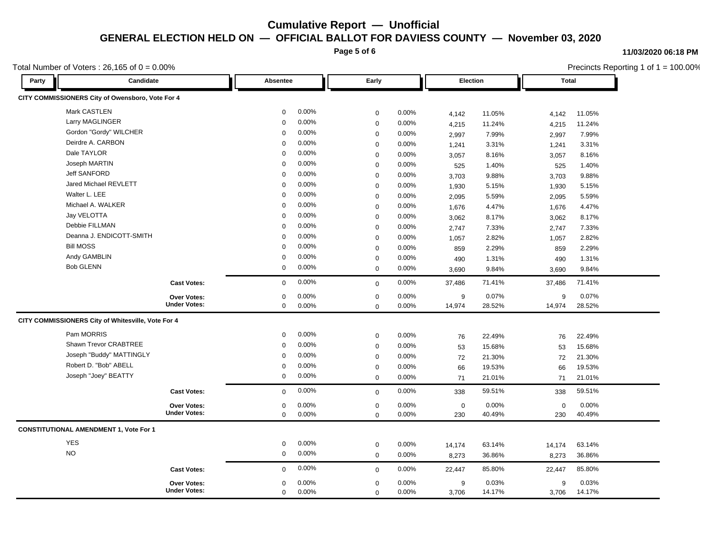**Page 5 of 6**

#### **11/03/2020 06:18 PM**

Precincts Reporting 1 of 1 = 100.00%

### Total Number of Voters :  $26,165$  of  $0 = 0.00\%$

| Candidate<br>Party                                 | Absentee             | Early       |       | Election    |        | <b>Total</b> |        |
|----------------------------------------------------|----------------------|-------------|-------|-------------|--------|--------------|--------|
| CITY COMMISSIONERS City of Owensboro, Vote For 4   |                      |             |       |             |        |              |        |
| Mark CASTLEN                                       | 0.00%<br>$\mathbf 0$ | $\mathbf 0$ | 0.00% | 4,142       | 11.05% | 4,142        | 11.05% |
| Larry MAGLINGER                                    | 0.00%<br>$\Omega$    | $\mathbf 0$ | 0.00% | 4,215       | 11.24% | 4,215        | 11.24% |
| Gordon "Gordy" WILCHER                             | 0.00%<br>$\Omega$    | $\mathbf 0$ | 0.00% | 2,997       | 7.99%  | 2,997        | 7.99%  |
| Deirdre A. CARBON                                  | 0.00%<br>$\Omega$    | $\mathbf 0$ | 0.00% | 1,241       | 3.31%  | 1,241        | 3.31%  |
| Dale TAYLOR                                        | 0.00%<br>$\Omega$    | $\Omega$    | 0.00% | 3,057       | 8.16%  | 3,057        | 8.16%  |
| Joseph MARTIN                                      | 0.00%<br>$\Omega$    | $\mathbf 0$ | 0.00% | 525         | 1.40%  | 525          | 1.40%  |
| <b>Jeff SANFORD</b>                                | 0.00%<br>$\Omega$    | $\mathbf 0$ | 0.00% | 3,703       | 9.88%  | 3,703        | 9.88%  |
| Jared Michael REVLETT                              | 0.00%<br>$\Omega$    | $\mathbf 0$ | 0.00% | 1,930       | 5.15%  | 1,930        | 5.15%  |
| Walter L. LEE                                      | 0.00%<br>$\Omega$    | $\mathbf 0$ | 0.00% | 2,095       | 5.59%  | 2,095        | 5.59%  |
| Michael A. WALKER                                  | 0.00%<br>$\Omega$    | $\mathbf 0$ | 0.00% | 1,676       | 4.47%  | 1,676        | 4.47%  |
| Jay VELOTTA                                        | 0.00%<br>$\Omega$    | $\mathbf 0$ | 0.00% | 3,062       | 8.17%  | 3,062        | 8.17%  |
| Debbie FILLMAN                                     | 0.00%<br>$\Omega$    | $\Omega$    | 0.00% | 2,747       | 7.33%  | 2,747        | 7.33%  |
| Deanna J. ENDICOTT-SMITH                           | 0.00%<br>$\Omega$    | $\mathbf 0$ | 0.00% | 1,057       | 2.82%  | 1,057        | 2.82%  |
| <b>Bill MOSS</b>                                   | 0.00%<br>$\Omega$    | $\mathbf 0$ | 0.00% | 859         | 2.29%  | 859          | 2.29%  |
| Andy GAMBLIN                                       | 0.00%<br>$\Omega$    | $\mathbf 0$ | 0.00% | 490         | 1.31%  | 490          | 1.31%  |
| <b>Bob GLENN</b>                                   | 0.00%<br>$\mathbf 0$ | $\mathbf 0$ | 0.00% | 3,690       | 9.84%  | 3.690        | 9.84%  |
| <b>Cast Votes:</b>                                 | 0.00%<br>$\Omega$    | $\Omega$    | 0.00% | 37,486      | 71.41% | 37,486       | 71.41% |
| Over Votes:                                        | 0.00%<br>$\Omega$    | $\mathbf 0$ | 0.00% | 9           | 0.07%  | 9            | 0.07%  |
| <b>Under Votes:</b>                                | 0.00%<br>$\mathbf 0$ | $\Omega$    | 0.00% | 14,974      | 28.52% | 14,974       | 28.52% |
| CITY COMMISSIONERS City of Whitesville, Vote For 4 |                      |             |       |             |        |              |        |
| Pam MORRIS                                         | 0.00%<br>$\Omega$    | $\mathbf 0$ | 0.00% | 76          | 22.49% | 76           | 22.49% |
| Shawn Trevor CRABTREE                              | 0.00%<br>$\Omega$    | $\mathbf 0$ | 0.00% | 53          | 15.68% | 53           | 15.68% |
| Joseph "Buddy" MATTINGLY                           | 0.00%<br>$\Omega$    | $\mathbf 0$ | 0.00% | 72          | 21.30% | 72           | 21.30% |
| Robert D. "Bob" ABELL                              | 0.00%<br>$\Omega$    | $\mathbf 0$ | 0.00% | 66          | 19.53% | 66           | 19.53% |
| Joseph "Joey" BEATTY                               | 0.00%<br>$\mathbf 0$ | $\Omega$    | 0.00% | 71          | 21.01% | 71           | 21.01% |
| <b>Cast Votes:</b>                                 | 0.00%<br>$\Omega$    | $\mathbf 0$ | 0.00% | 338         | 59.51% | 338          | 59.51% |
| <b>Over Votes:</b>                                 | 0.00%<br>$\mathbf 0$ | $\mathbf 0$ | 0.00% | $\mathbf 0$ | 0.00%  | $\mathbf 0$  | 0.00%  |
| <b>Under Votes:</b>                                | $\Omega$<br>0.00%    | $\mathbf 0$ | 0.00% | 230         | 40.49% | 230          | 40.49% |
| <b>CONSTITUTIONAL AMENDMENT 1, Vote For 1</b>      |                      |             |       |             |        |              |        |
| <b>YES</b>                                         | 0.00%<br>0           | $\mathbf 0$ | 0.00% | 14,174      | 63.14% | 14,174       | 63.14% |
| <b>NO</b>                                          | 0.00%<br>$\mathbf 0$ | $\mathbf 0$ | 0.00% | 8,273       | 36.86% | 8,273        | 36.86% |
| <b>Cast Votes:</b>                                 | 0.00%<br>$\mathbf 0$ | $\mathbf 0$ | 0.00% | 22,447      | 85.80% | 22,447       | 85.80% |
| Over Votes:                                        | 0.00%<br>$\mathbf 0$ | $\mathbf 0$ | 0.00% | 9           | 0.03%  | 9            | 0.03%  |
| <b>Under Votes:</b>                                | 0.00%<br>$\Omega$    | $\Omega$    | 0.00% | 3,706       | 14.17% | 3,706        | 14.17% |